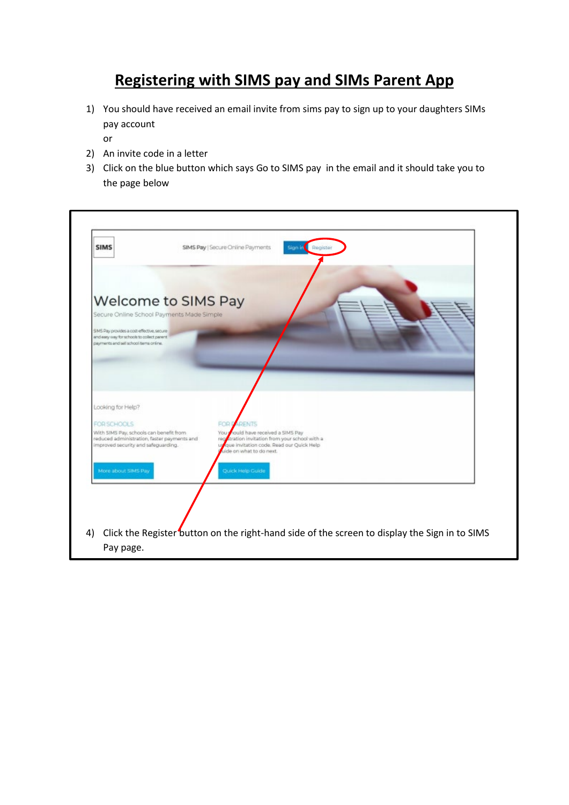## **Registering with SIMS pay and SIMs Parent App**

- 1) You should have received an email invite from sims pay to sign up to your daughters SIMs pay account
	- or
- 2) An invite code in a letter
- 3) Click on the blue button which says Go to SIMS pay in the email and it should take you to the page below

| <b>SIMS</b>                                                                                                                                                                                                   | SIMS Pay   Secure Online Payments                                                                                                                                                       | Sign in Register |  |
|---------------------------------------------------------------------------------------------------------------------------------------------------------------------------------------------------------------|-----------------------------------------------------------------------------------------------------------------------------------------------------------------------------------------|------------------|--|
| <b>Welcome to SIMS Pay</b><br>Secure Online School Payments Made Simple<br>SIMS Pay provides a cost-effective, secure<br>and easy way for schools to collect parent<br>payments and sell school items online. |                                                                                                                                                                                         |                  |  |
| Looking for Help?<br>FOR SCHOOLS<br>With SIMS Pay, schools can benefit from<br>reduced administration, faster payments and<br>improved security and safeguarding.                                             | FOR D<br><b>ARENTS</b><br>You nould have received a SIMS Pay<br>regularation invitation from your school with a<br>que invitation code. Read our Quick Help<br>aide on what to do next. |                  |  |
| More about SIMS Pay                                                                                                                                                                                           | Quick Help Guide                                                                                                                                                                        |                  |  |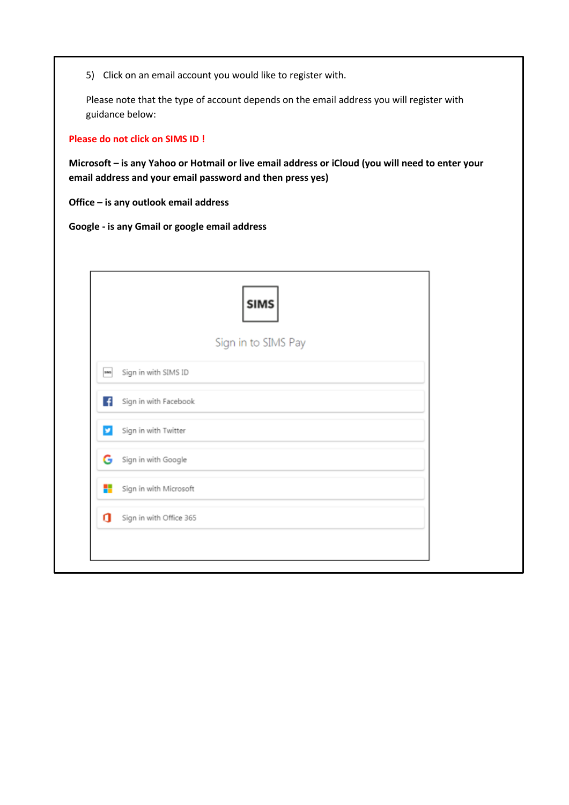5) Click on an email account you would like to register with.

Please note that the type of account depends on the email address you will register with guidance below:

**Please do not click on SIMS ID !**

**Microsoft – is any Yahoo or Hotmail or live email address or iCloud (you will need to enter your email address and your email password and then press yes)**

**Office – is any outlook email address** 

**Google - is any Gmail or google email address** 

|                              | <b>SIMS</b>         |  |
|------------------------------|---------------------|--|
|                              | Sign in to SIMS Pay |  |
| Sign in with SIMS ID<br>sas  |                     |  |
| Sign in with Facebook<br>F   |                     |  |
| Sign in with Twitter<br>¥.   |                     |  |
| G Sign in with Google        |                     |  |
| ۰<br>Sign in with Microsoft  |                     |  |
| g<br>Sign in with Office 365 |                     |  |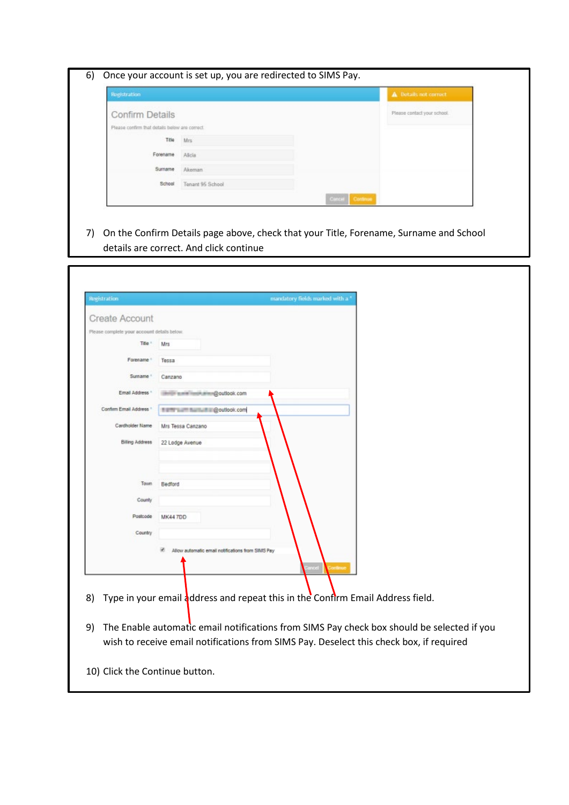| Registration                                   |                  | A Details not correct       |
|------------------------------------------------|------------------|-----------------------------|
| Confirm Details                                |                  | Please contact your school. |
| Please confirm that details below are correct. |                  |                             |
| Title                                          | Mrs:             |                             |
| Forename                                       | Alicia           |                             |
| Surname                                        | Akeman           |                             |
| School                                         | Tenant 95 School |                             |

7) On the Confirm Details page above, check that your Title, Forename, Surname and School details are correct. And click continue

| Registration                                |                                                   | mandatory fields marked with a |
|---------------------------------------------|---------------------------------------------------|--------------------------------|
| <b>Create Account</b>                       |                                                   |                                |
| Please complete your account details below. |                                                   |                                |
| Title <sup>+</sup>                          | Mrs                                               |                                |
| Forename <sup>+</sup>                       | Tessa                                             |                                |
| Sunname <sup>+</sup>                        | Canzano                                           |                                |
| Email Address *                             | mitter www.insuin.aimr@outlook.com                |                                |
| Confirm Email Address *                     | 1 ETT auf Barball @outlook.com                    |                                |
| Cardholder Name                             | Mrs Tessa Canzano                                 |                                |
| Billing Address                             | 22 Lodge Avenue                                   |                                |
|                                             |                                                   |                                |
| Town                                        | Bedford                                           |                                |
| County                                      |                                                   |                                |
| Postcode                                    | MK44 7DD                                          |                                |
| Country                                     |                                                   |                                |
|                                             | Allow automatic email notifications from SIMS Pay |                                |

- 8) Type in your email address and repeat this in the Confirm Email Address field.
- 9) The Enable automatic email notifications from SIMS Pay check box should be selected if you wish to receive email notifications from SIMS Pay. Deselect this check box, if required

10) Click the Continue button.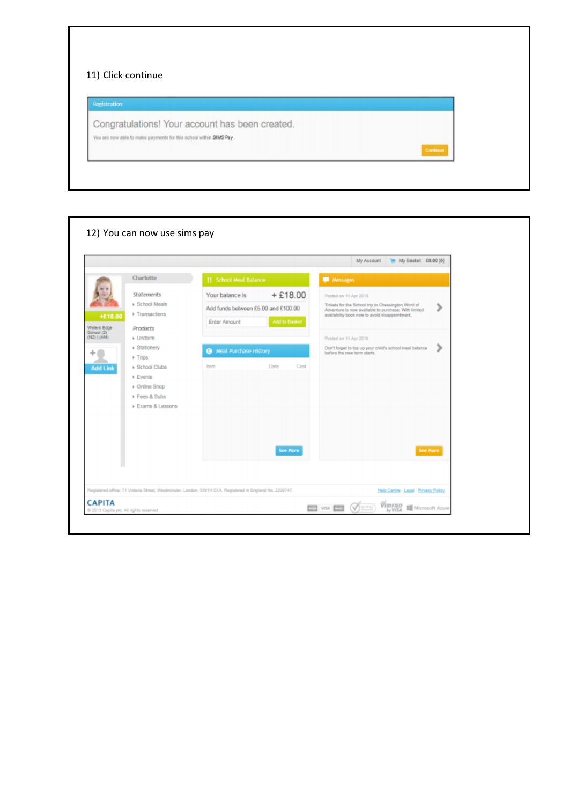| Registration                                                       |                                                 |  |  |
|--------------------------------------------------------------------|-------------------------------------------------|--|--|
|                                                                    | Congratulations! Your account has been created. |  |  |
| You are now able to make payments for this school within SIMS Pay. |                                                 |  |  |

Г

|                                               |                                                                                    |                                                                                                          |               |                                                                                                                                                                   | My Account | Te My Basket £0.00 [0]                                  |          |
|-----------------------------------------------|------------------------------------------------------------------------------------|----------------------------------------------------------------------------------------------------------|---------------|-------------------------------------------------------------------------------------------------------------------------------------------------------------------|------------|---------------------------------------------------------|----------|
|                                               | Charlotte                                                                          | 11 School Meal Balance                                                                                   |               | <b>Messages</b>                                                                                                                                                   |            |                                                         |          |
|                                               | Statements                                                                         | Your balance is                                                                                          | $+£18.00$     | Posted on 11 Apr 2018                                                                                                                                             |            |                                                         |          |
| +£18.00                                       | <b>Bchool Meals</b><br>Fransactions                                                | Add funds between £5.00 and £100.00<br><b>Enter Amount</b>                                               | Add to Basket | Tickets for the School trip to Chessington Word of<br>⋗<br>Adventure is now available to purchase. With limited<br>availability book now to avoid disappointment. |            |                                                         |          |
| Waters Edge<br>School (2)<br>$(NE2)$   $(AM)$ | <b>Products</b><br>⊩ Uniform                                                       |                                                                                                          |               | Posted on 11 Apr 2018                                                                                                                                             |            |                                                         |          |
| $+$ Trips                                     | ▶ Stationery                                                                       | <sup>3</sup> Meal Purchase History                                                                       |               | before the new term starts.                                                                                                                                       |            | Don't forget to top up your child's school meal balance | ⋗        |
| <b>Add Link</b>                               | ▶ School Clubs<br><b>Events</b><br>▶ Online Shop<br>Fees & Subs<br>Exams & Lessons | <b>tem</b>                                                                                               | Date<br>Cost  |                                                                                                                                                                   |            |                                                         |          |
|                                               |                                                                                    | Registered office: 71 Victoria Street, Westminster, London, SW1H DXA. Registered in England No. 2299747. | See More      |                                                                                                                                                                   |            | Help Centre Legal   Privacy Policy                      | See More |